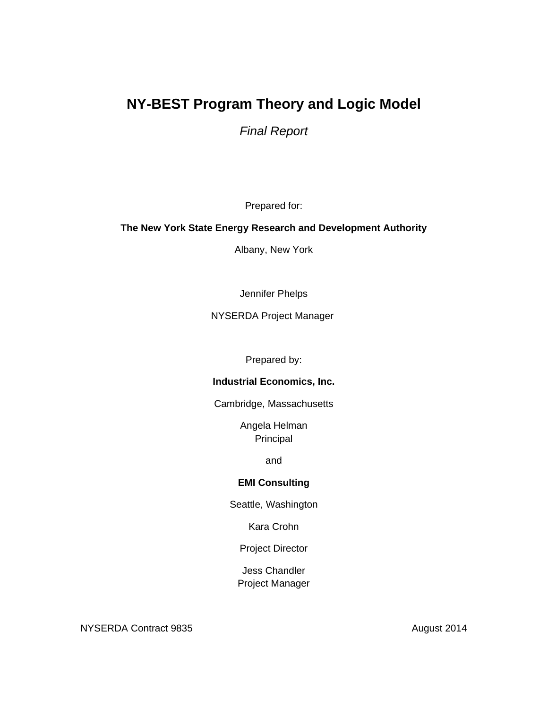# **NY-BEST Program Theory and Logic Model**

*Final Report* 

Prepared for:

### **The New York State Energy Research and Development Authority**

Albany, New York

Jennifer Phelps

NYSERDA Project Manager

Prepared by:

### **Industrial Economics, Inc.**

Cambridge, Massachusetts

Angela Helman Principal

and

### **EMI Consulting**

Seattle, Washington

Kara Crohn

Project Director

Jess Chandler Project Manager

NYSERDA Contract 9835 August 2014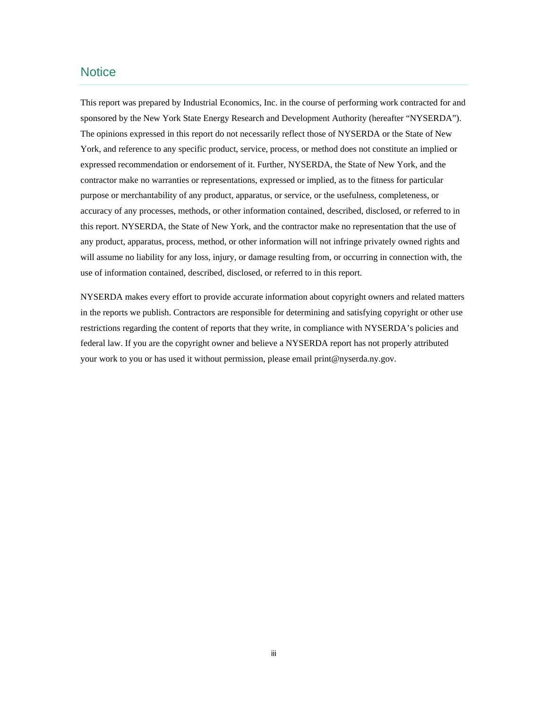### **Notice**

 This report was prepared by Industrial Economics, Inc. in the course of performing work contracted for and The opinions expressed in this report do not necessarily reflect those of NYSERDA or the State of New purpose or merchantability of any product, apparatus, or service, or the usefulness, completeness, or use of information contained, described, disclosed, or referred to in this report. sponsored by the New York State Energy Research and Development Authority (hereafter "NYSERDA"). York, and reference to any specific product, service, process, or method does not constitute an implied or expressed recommendation or endorsement of it. Further, NYSERDA, the State of New York, and the contractor make no warranties or representations, expressed or implied, as to the fitness for particular accuracy of any processes, methods, or other information contained, described, disclosed, or referred to in this report. NYSERDA, the State of New York, and the contractor make no representation that the use of any product, apparatus, process, method, or other information will not infringe privately owned rights and will assume no liability for any loss, injury, or damage resulting from, or occurring in connection with, the

 your work to you or has used it without permission, please email print@nyserda.ny.gov. NYSERDA makes every effort to provide accurate information about copyright owners and related matters in the reports we publish. Contractors are responsible for determining and satisfying copyright or other use restrictions regarding the content of reports that they write, in compliance with NYSERDA's policies and federal law. If you are the copyright owner and believe a NYSERDA report has not properly attributed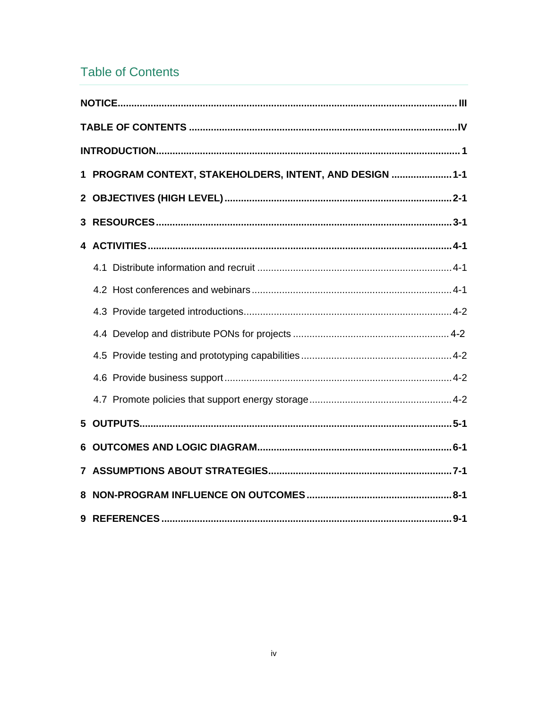# **Table of Contents**

| 1 PROGRAM CONTEXT, STAKEHOLDERS, INTENT, AND DESIGN  1-1 |
|----------------------------------------------------------|
|                                                          |
|                                                          |
|                                                          |
|                                                          |
|                                                          |
|                                                          |
|                                                          |
|                                                          |
|                                                          |
|                                                          |
|                                                          |
|                                                          |
|                                                          |
|                                                          |
|                                                          |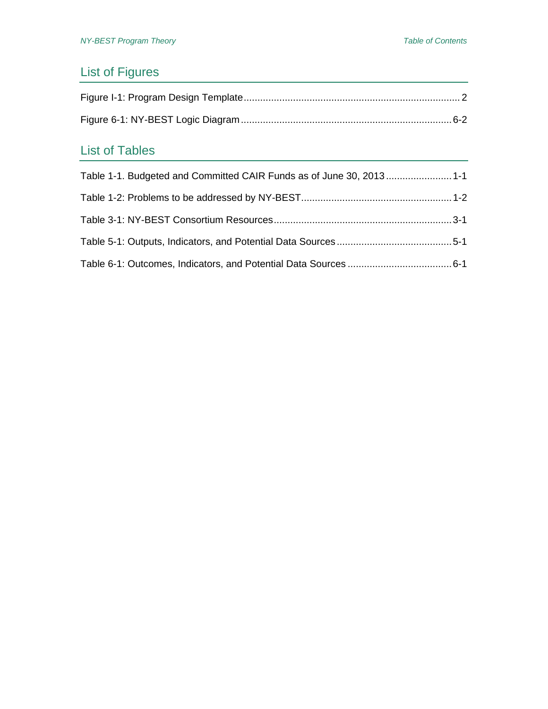# List of Figures

# List of Tables

| Table 1-1. Budgeted and Committed CAIR Funds as of June 30, 2013 1-1 |  |
|----------------------------------------------------------------------|--|
|                                                                      |  |
|                                                                      |  |
|                                                                      |  |
|                                                                      |  |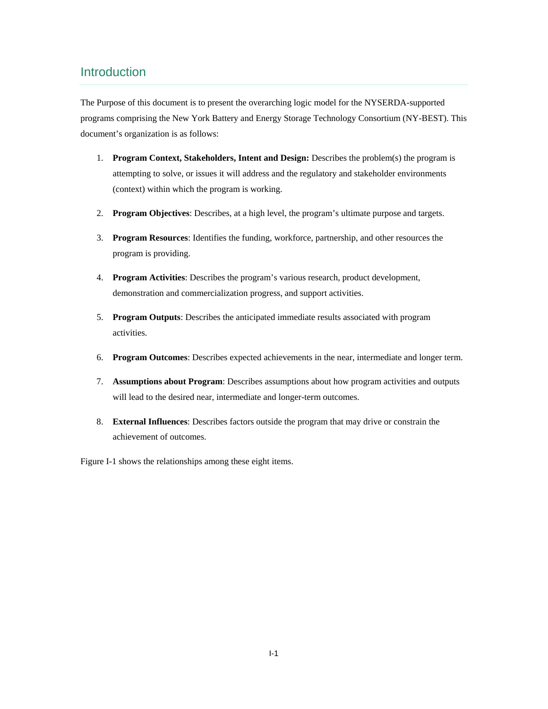### Introduction

document's organization is as follows: The Purpose of this document is to present the overarching logic model for the NYSERDA-supported programs comprising the New York Battery and Energy Storage Technology Consortium (NY-BEST). This

- 1. **Program Context, Stakeholders, Intent and Design:** Describes the problem(s) the program is attempting to solve, or issues it will address and the regulatory and stakeholder environments (context) within which the program is working.
- 
- 2. **Program Objectives**: Describes, at a high level, the program's ultimate purpose and targets.<br>3. **Program Resources**: Identifies the funding, workforce, partnership, and other resources the program is providing.
- 4. **Program Activities**: Describes the program's various research, product development, demonstration and commercialization progress, and support activities.
- 5. **Program Outputs**: Describes the anticipated immediate results associated with program activities.
- 6. **Program Outcomes**: Describes expected achievements in the near, intermediate and longer term.
- 7. **Assumptions about Program**: Describes assumptions about how program activities and outputs will lead to the desired near, intermediate and longer-term outcomes.
- 8. **External Influences**: Describes factors outside the program that may drive or constrain the achievement of outcomes.

Figure I-1 shows the relationships among these eight items.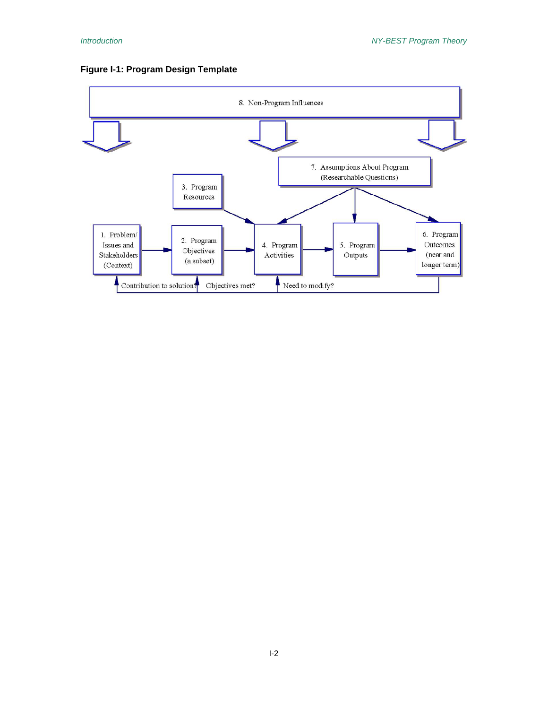

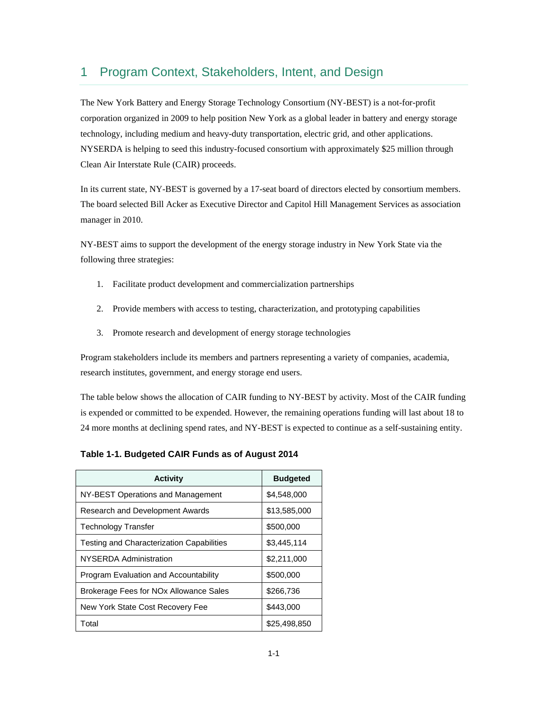### 1 Program Context, Stakeholders, Intent, and Design

The New York Battery and Energy Storage Technology Consortium (NY-BEST) is a not-for-profit corporation organized in 2009 to help position New York as a global leader in battery and energy storage technology, including medium and heavy-duty transportation, electric grid, and other applications. NYSERDA is helping to seed this industry-focused consortium with approximately \$25 million through Clean Air Interstate Rule (CAIR) proceeds.

 In its current state, NY-BEST is governed by a 17-seat board of directors elected by consortium members. The board selected Bill Acker as Executive Director and Capitol Hill Management Services as association manager in 2010.

NY-BEST aims to support the development of the energy storage industry in New York State via the following three strategies:

- 1. Facilitate product development and commercialization partnerships
- 2. Provide members with access to testing, characterization, and prototyping capabilities
- 3. Promote research and development of energy storage technologies

 research institutes, government, and energy storage end users. Program stakeholders include its members and partners representing a variety of companies, academia,

 The table below shows the allocation of CAIR funding to NY-BEST by activity. Most of the CAIR funding is expended or committed to be expended. However, the remaining operations funding will last about 18 to 24 more months at declining spend rates, and NY-BEST is expected to continue as a self-sustaining entity.

**Table 1-1. Budgeted CAIR Funds as of August 2014** 

| <b>Activity</b>                                    | <b>Budgeted</b> |
|----------------------------------------------------|-----------------|
| NY-BEST Operations and Management                  | \$4,548,000     |
| Research and Development Awards                    | \$13,585,000    |
| <b>Technology Transfer</b>                         | \$500,000       |
| <b>Testing and Characterization Capabilities</b>   | \$3,445,114     |
| NYSERDA Administration                             | \$2,211,000     |
| Program Evaluation and Accountability              | \$500,000       |
| Brokerage Fees for NO <sub>x</sub> Allowance Sales | \$266,736       |
| New York State Cost Recovery Fee                   | \$443,000       |
| Total                                              | \$25,498,850    |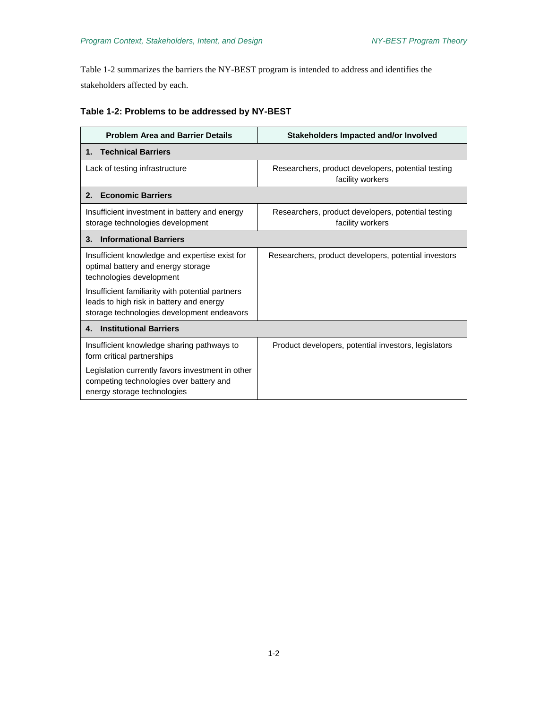Table 1-2 summarizes the barriers the NY-BEST program is intended to address and identifies the stakeholders affected by each.

| Table 1-2: Problems to be addressed by NY-BEST |  |  |  |  |  |  |  |  |
|------------------------------------------------|--|--|--|--|--|--|--|--|
|------------------------------------------------|--|--|--|--|--|--|--|--|

| <b>Problem Area and Barrier Details</b>                                                                                                    | Stakeholders Impacted and/or Involved                                  |  |  |  |
|--------------------------------------------------------------------------------------------------------------------------------------------|------------------------------------------------------------------------|--|--|--|
| <b>Technical Barriers</b><br>1.                                                                                                            |                                                                        |  |  |  |
| Lack of testing infrastructure                                                                                                             | Researchers, product developers, potential testing<br>facility workers |  |  |  |
| <b>Economic Barriers</b><br>2.                                                                                                             |                                                                        |  |  |  |
| Insufficient investment in battery and energy<br>storage technologies development                                                          | Researchers, product developers, potential testing<br>facility workers |  |  |  |
| <b>Informational Barriers</b><br>3.                                                                                                        |                                                                        |  |  |  |
| Insufficient knowledge and expertise exist for<br>optimal battery and energy storage<br>technologies development                           | Researchers, product developers, potential investors                   |  |  |  |
| Insufficient familiarity with potential partners<br>leads to high risk in battery and energy<br>storage technologies development endeavors |                                                                        |  |  |  |
| <b>Institutional Barriers</b><br>4.                                                                                                        |                                                                        |  |  |  |
| Insufficient knowledge sharing pathways to<br>form critical partnerships                                                                   | Product developers, potential investors, legislators                   |  |  |  |
| Legislation currently favors investment in other<br>competing technologies over battery and<br>energy storage technologies                 |                                                                        |  |  |  |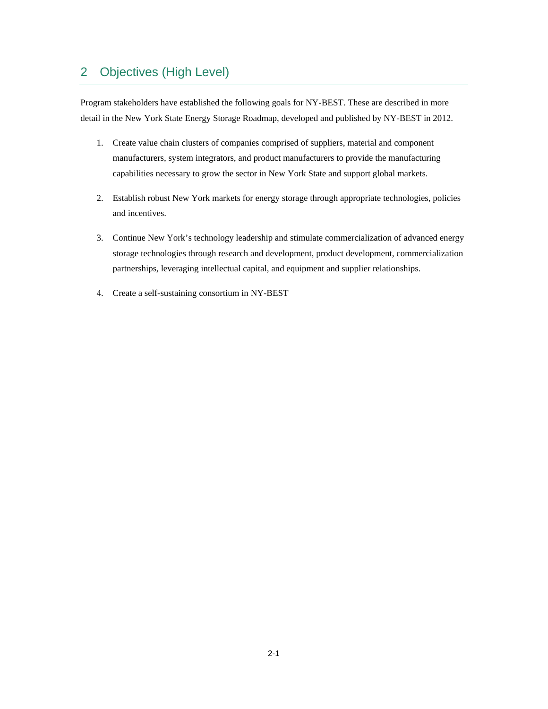### 2 Objectives (High Level)

detail in the New York State Energy Storage Roadmap, developed and published by NY-BEST in 2012. Program stakeholders have established the following goals for NY-BEST. These are described in more

- 1. Create value chain clusters of companies comprised of suppliers, material and component manufacturers, system integrators, and product manufacturers to provide the manufacturing capabilities necessary to grow the sector in New York State and support global markets.
- 2. Establish robust New York markets for energy storage through appropriate technologies, policies and incentives.
- 3. Continue New York's technology leadership and stimulate commercialization of advanced energy storage technologies through research and development, product development, commercialization partnerships, leveraging intellectual capital, and equipment and supplier relationships.
- 4. Create a self-sustaining consortium in NY-BEST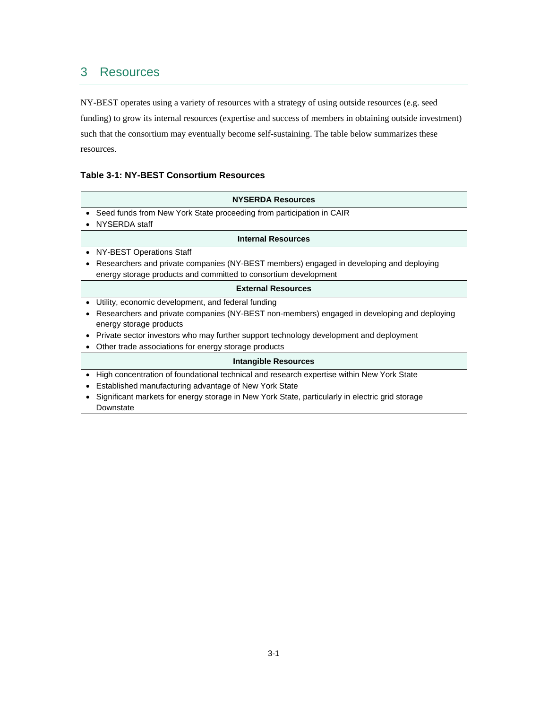### 3 Resources

NY-BEST operates using a variety of resources with a strategy of using outside resources (e.g. seed funding) to grow its internal resources (expertise and success of members in obtaining outside investment) such that the consortium may eventually become self-sustaining. The table below summarizes these resources.

#### **Table 3-1: NY-BEST Consortium Resources**

| <b>NYSERDA Resources</b>                                                                        |  |  |  |  |
|-------------------------------------------------------------------------------------------------|--|--|--|--|
| Seed funds from New York State proceeding from participation in CAIR                            |  |  |  |  |
| NYSERDA staff                                                                                   |  |  |  |  |
| <b>Internal Resources</b>                                                                       |  |  |  |  |
| NY-BEST Operations Staff                                                                        |  |  |  |  |
| Researchers and private companies (NY-BEST members) engaged in developing and deploying         |  |  |  |  |
| energy storage products and committed to consortium development                                 |  |  |  |  |
| <b>External Resources</b>                                                                       |  |  |  |  |
| Utility, economic development, and federal funding                                              |  |  |  |  |
| Researchers and private companies (NY-BEST non-members) engaged in developing and deploying     |  |  |  |  |
| energy storage products                                                                         |  |  |  |  |
| Private sector investors who may further support technology development and deployment          |  |  |  |  |
| Other trade associations for energy storage products                                            |  |  |  |  |
| <b>Intangible Resources</b>                                                                     |  |  |  |  |
| High concentration of foundational technical and research expertise within New York State       |  |  |  |  |
| Established manufacturing advantage of New York State                                           |  |  |  |  |
| Significant markets for energy storage in New York State, particularly in electric grid storage |  |  |  |  |
| Downstate                                                                                       |  |  |  |  |

 $\overline{\phantom{a}}$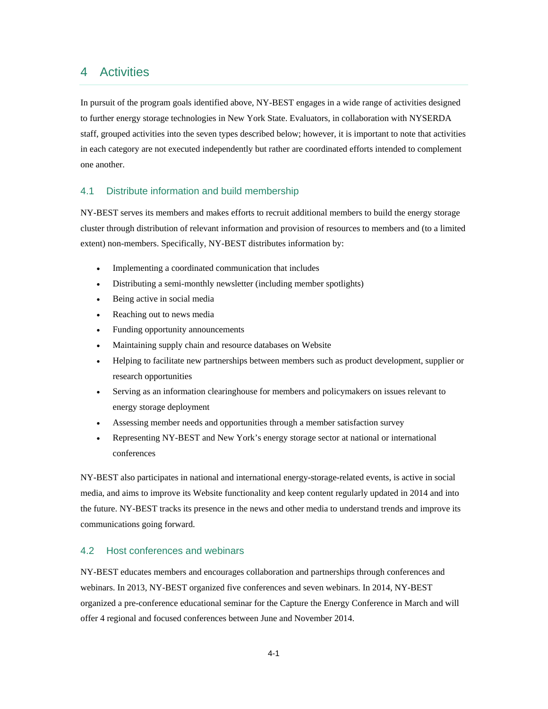### 4 Activities

In pursuit of the program goals identified above, NY-BEST engages in a wide range of activities designed to further energy storage technologies in New York State. Evaluators, in collaboration with NYSERDA staff, grouped activities into the seven types described below; however, it is important to note that activities in each category are not executed independently but rather are coordinated efforts intended to complement one another.

#### 4.1 Distribute information and build membership

 cluster through distribution of relevant information and provision of resources to members and (to a limited extent) non-members. Specifically, NY-BEST distributes information by: NY-BEST serves its members and makes efforts to recruit additional members to build the energy storage

- Implementing a coordinated communication that includes
- Distributing a semi-monthly newsletter (including member spotlights)
- Being active in social media
- Reaching out to news media
- Funding opportunity announcements
- Maintaining supply chain and resource databases on Website
- Helping to facilitate new partnerships between members such as product development, supplier or research opportunities
- energy storage deployment Serving as an information clearinghouse for members and policymakers on issues relevant to
- Assessing member needs and opportunities through a member satisfaction survey
- Representing NY-BEST and New York's energy storage sector at national or international conferences

 communications going forward. NY-BEST also participates in national and international energy-storage-related events, is active in social media, and aims to improve its Website functionality and keep content regularly updated in 2014 and into the future. NY-BEST tracks its presence in the news and other media to understand trends and improve its

#### 4.2 Host conferences and webinars

 webinars. In 2013, NY-BEST organized five conferences and seven webinars. In 2014, NY-BEST NY-BEST educates members and encourages collaboration and partnerships through conferences and organized a pre-conference educational seminar for the Capture the Energy Conference in March and will offer 4 regional and focused conferences between June and November 2014.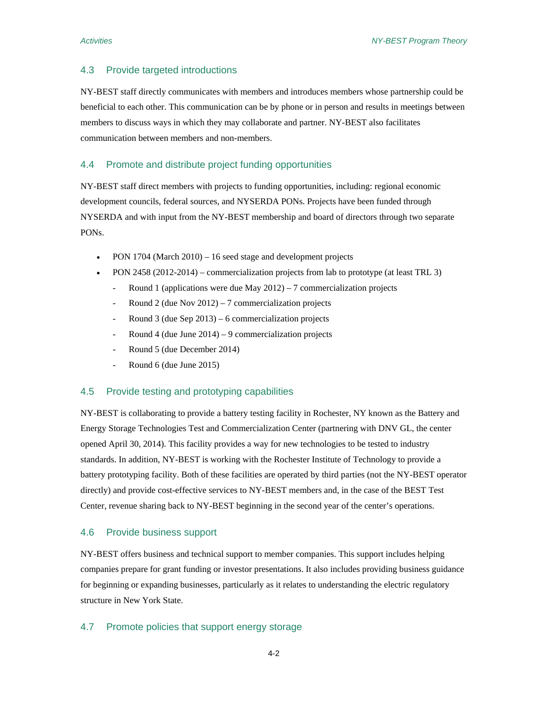#### 4.3 Provide targeted introductions

NY-BEST staff directly communicates with members and introduces members whose partnership could be beneficial to each other. This communication can be by phone or in person and results in meetings between members to discuss ways in which they may collaborate and partner. NY-BEST also facilitates communication between members and non-members.

#### 4.4 Promote and distribute project funding opportunities

 development councils, federal sources, and NYSERDA PONs. Projects have been funded through NY-BEST staff direct members with projects to funding opportunities, including: regional economic NYSERDA and with input from the NY-BEST membership and board of directors through two separate PONs.

- PON 1704 (March 2010) 16 seed stage and development projects
- PON 2458 (2012-2014) commercialization projects from lab to prototype (at least TRL 3)
	- Round 1 (applications were due May 2012) 7 commercialization projects
	- Round 2 (due Nov 2012) 7 commercialization projects
	- Round 3 (due Sep  $2013$ ) 6 commercialization projects
	- Round 4 (due June 2014) 9 commercialization projects
	- Round 5 (due December 2014)
	- Round 6 (due June 2015)

#### 4.5 Provide testing and prototyping capabilities

 Energy Storage Technologies Test and Commercialization Center (partnering with DNV GL, the center opened April 30, 2014). This facility provides a way for new technologies to be tested to industry NY-BEST is collaborating to provide a battery testing facility in Rochester, NY known as the Battery and standards. In addition, NY-BEST is working with the Rochester Institute of Technology to provide a battery prototyping facility. Both of these facilities are operated by third parties (not the NY-BEST operator directly) and provide cost-effective services to NY-BEST members and, in the case of the BEST Test Center, revenue sharing back to NY-BEST beginning in the second year of the center's operations.

#### 4.6 Provide business support

NY-BEST offers business and technical support to member companies. This support includes helping companies prepare for grant funding or investor presentations. It also includes providing business guidance for beginning or expanding businesses, particularly as it relates to understanding the electric regulatory structure in New York State.

#### 4.7 Promote policies that support energy storage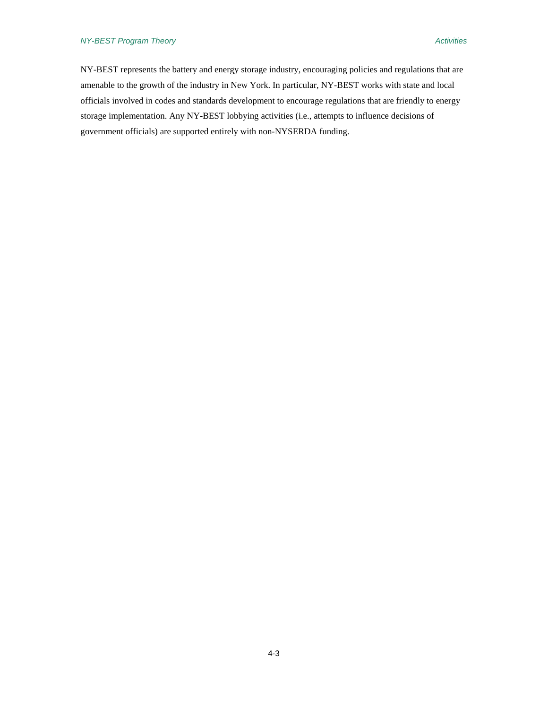#### *NY-BEST Program Theory Activities*

NY-BEST represents the battery and energy storage industry, encouraging policies and regulations that are amenable to the growth of the industry in New York. In particular, NY-BEST works with state and local officials involved in codes and standards development to encourage regulations that are friendly to energy storage implementation. Any NY-BEST lobbying activities (i.e., attempts to influence decisions of government officials) are supported entirely with non-NYSERDA funding.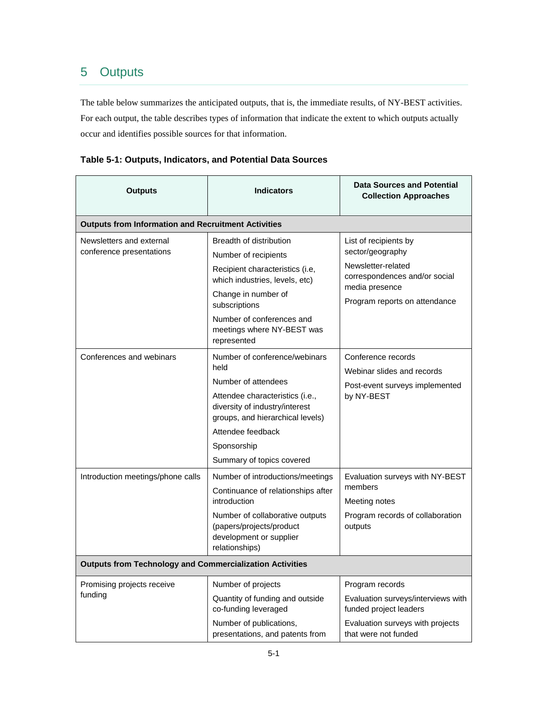## 5 Outputs

 occur and identifies possible sources for that information. The table below summarizes the anticipated outputs, that is, the immediate results, of NY-BEST activities. For each output, the table describes types of information that indicate the extent to which outputs actually

| <b>Outputs</b>                                                  | <b>Indicators</b>                                                                                                                                                                                                                      | <b>Data Sources and Potential</b><br><b>Collection Approaches</b>                                                                                   |  |  |  |  |
|-----------------------------------------------------------------|----------------------------------------------------------------------------------------------------------------------------------------------------------------------------------------------------------------------------------------|-----------------------------------------------------------------------------------------------------------------------------------------------------|--|--|--|--|
| <b>Outputs from Information and Recruitment Activities</b>      |                                                                                                                                                                                                                                        |                                                                                                                                                     |  |  |  |  |
| Newsletters and external<br>conference presentations            | Breadth of distribution<br>Number of recipients<br>Recipient characteristics (i.e,<br>which industries, levels, etc)<br>Change in number of<br>subscriptions<br>Number of conferences and<br>meetings where NY-BEST was<br>represented | List of recipients by<br>sector/geography<br>Newsletter-related<br>correspondences and/or social<br>media presence<br>Program reports on attendance |  |  |  |  |
| Conferences and webinars                                        | Number of conference/webinars<br>held<br>Number of attendees<br>Attendee characteristics (i.e.,<br>diversity of industry/interest<br>groups, and hierarchical levels)<br>Attendee feedback<br>Sponsorship<br>Summary of topics covered | Conference records<br>Webinar slides and records<br>Post-event surveys implemented<br>by NY-BEST                                                    |  |  |  |  |
| Introduction meetings/phone calls                               | Number of introductions/meetings<br>Continuance of relationships after<br>introduction<br>Number of collaborative outputs<br>(papers/projects/product<br>development or supplier<br>relationships)                                     | Evaluation surveys with NY-BEST<br>members<br>Meeting notes<br>Program records of collaboration<br>outputs                                          |  |  |  |  |
| <b>Outputs from Technology and Commercialization Activities</b> |                                                                                                                                                                                                                                        |                                                                                                                                                     |  |  |  |  |
| Promising projects receive<br>funding                           | Number of projects<br>Quantity of funding and outside<br>co-funding leveraged<br>Number of publications,<br>presentations, and patents from                                                                                            | Program records<br>Evaluation surveys/interviews with<br>funded project leaders<br>Evaluation surveys with projects<br>that were not funded         |  |  |  |  |

### **Table 5-1: Outputs, Indicators, and Potential Data Sources**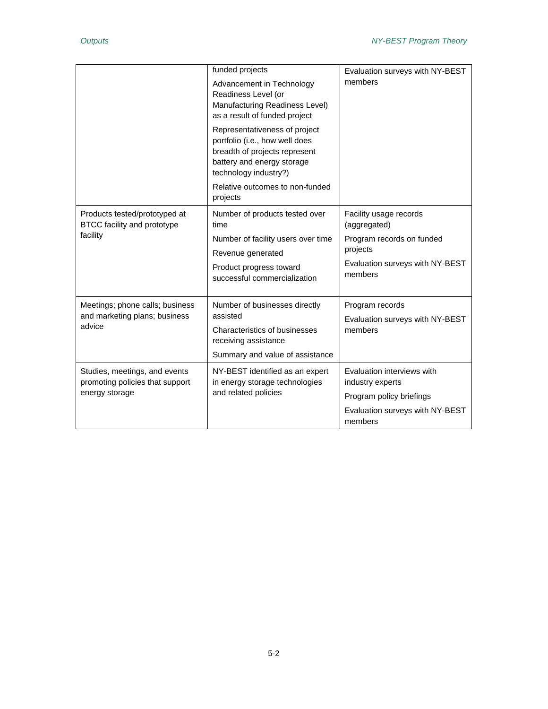|                                                                                    | funded projects<br>Advancement in Technology<br>Readiness Level (or<br>Manufacturing Readiness Level)<br>as a result of funded project<br>Representativeness of project<br>portfolio (i.e., how well does<br>breadth of projects represent<br>battery and energy storage<br>technology industry?)<br>Relative outcomes to non-funded<br>projects | Evaluation surveys with NY-BEST<br>members                                                                                    |
|------------------------------------------------------------------------------------|--------------------------------------------------------------------------------------------------------------------------------------------------------------------------------------------------------------------------------------------------------------------------------------------------------------------------------------------------|-------------------------------------------------------------------------------------------------------------------------------|
| Products tested/prototyped at<br>BTCC facility and prototype<br>facility           | Number of products tested over<br>time<br>Number of facility users over time<br>Revenue generated<br>Product progress toward<br>successful commercialization                                                                                                                                                                                     | Facility usage records<br>(aggregated)<br>Program records on funded<br>projects<br>Evaluation surveys with NY-BEST<br>members |
| Meetings; phone calls; business<br>and marketing plans; business<br>advice         | Number of businesses directly<br>assisted<br><b>Characteristics of businesses</b><br>receiving assistance<br>Summary and value of assistance                                                                                                                                                                                                     | Program records<br>Evaluation surveys with NY-BEST<br>members                                                                 |
| Studies, meetings, and events<br>promoting policies that support<br>energy storage | NY-BEST identified as an expert<br>in energy storage technologies<br>and related policies                                                                                                                                                                                                                                                        | Evaluation interviews with<br>industry experts<br>Program policy briefings<br>Evaluation surveys with NY-BEST<br>members      |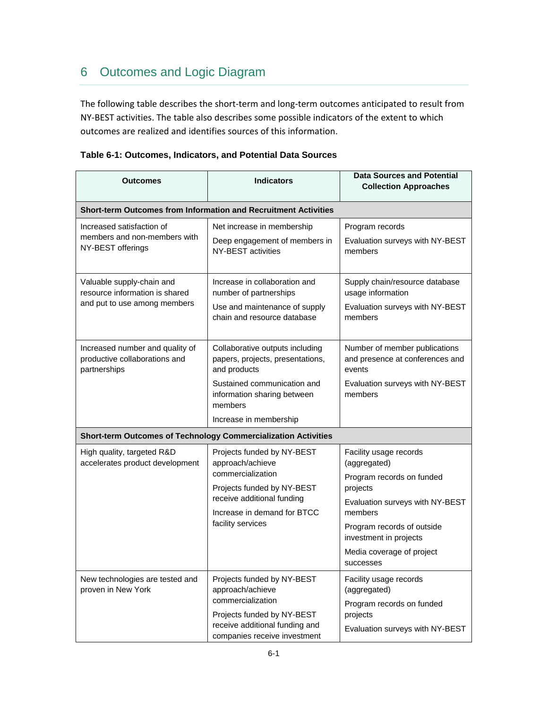# 6 Outcomes and Logic Diagram

 The following table describes the short‐term and long‐term outcomes anticipated to result from NY‐BEST activities. The table also describes some possible indicators of the extent to which outcomes are realized and identifies sources of this information.

| Outcomes                                                                                    | <b>Indicators</b>                                                                                                                                                                      | <b>Data Sources and Potential</b><br><b>Collection Approaches</b>                                                                                                                                                               |  |  |  |  |
|---------------------------------------------------------------------------------------------|----------------------------------------------------------------------------------------------------------------------------------------------------------------------------------------|---------------------------------------------------------------------------------------------------------------------------------------------------------------------------------------------------------------------------------|--|--|--|--|
| <b>Short-term Outcomes from Information and Recruitment Activities</b>                      |                                                                                                                                                                                        |                                                                                                                                                                                                                                 |  |  |  |  |
| Increased satisfaction of<br>members and non-members with<br>NY-BEST offerings              | Net increase in membership<br>Deep engagement of members in<br>NY-BEST activities                                                                                                      | Program records<br>Evaluation surveys with NY-BEST<br>members                                                                                                                                                                   |  |  |  |  |
| Valuable supply-chain and<br>resource information is shared<br>and put to use among members | Increase in collaboration and<br>number of partnerships<br>Use and maintenance of supply<br>chain and resource database                                                                | Supply chain/resource database<br>usage information<br>Evaluation surveys with NY-BEST<br>members                                                                                                                               |  |  |  |  |
| Increased number and quality of<br>productive collaborations and<br>partnerships            | Collaborative outputs including<br>papers, projects, presentations,<br>and products<br>Sustained communication and<br>information sharing between<br>members<br>Increase in membership | Number of member publications<br>and presence at conferences and<br>events<br>Evaluation surveys with NY-BEST<br>members                                                                                                        |  |  |  |  |
| <b>Short-term Outcomes of Technology Commercialization Activities</b>                       |                                                                                                                                                                                        |                                                                                                                                                                                                                                 |  |  |  |  |
| High quality, targeted R&D<br>accelerates product development                               | Projects funded by NY-BEST<br>approach/achieve<br>commercialization<br>Projects funded by NY-BEST<br>receive additional funding<br>Increase in demand for BTCC<br>facility services    | Facility usage records<br>(aggregated)<br>Program records on funded<br>projects<br>Evaluation surveys with NY-BEST<br>members<br>Program records of outside<br>investment in projects<br>Media coverage of project<br>successes |  |  |  |  |
| New technologies are tested and<br>proven in New York                                       | Projects funded by NY-BEST<br>approach/achieve<br>commercialization<br>Projects funded by NY-BEST<br>receive additional funding and<br>companies receive investment                    | Facility usage records<br>(aggregated)<br>Program records on funded<br>projects<br>Evaluation surveys with NY-BEST                                                                                                              |  |  |  |  |

| Table 6-1: Outcomes, Indicators, and Potential Data Sources |  |  |  |
|-------------------------------------------------------------|--|--|--|
|-------------------------------------------------------------|--|--|--|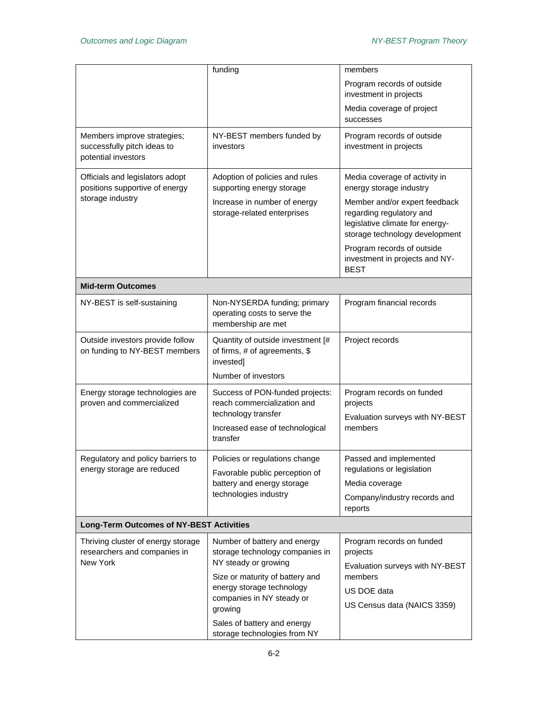|                                                                                       | funding                                                                                                                                                                                                                        | members                                                                                                                                                                                                                                                                   |  |  |
|---------------------------------------------------------------------------------------|--------------------------------------------------------------------------------------------------------------------------------------------------------------------------------------------------------------------------------|---------------------------------------------------------------------------------------------------------------------------------------------------------------------------------------------------------------------------------------------------------------------------|--|--|
|                                                                                       |                                                                                                                                                                                                                                | Program records of outside<br>investment in projects                                                                                                                                                                                                                      |  |  |
|                                                                                       |                                                                                                                                                                                                                                | Media coverage of project<br>successes                                                                                                                                                                                                                                    |  |  |
| Members improve strategies;<br>successfully pitch ideas to<br>potential investors     | NY-BEST members funded by<br>investors                                                                                                                                                                                         | Program records of outside<br>investment in projects                                                                                                                                                                                                                      |  |  |
| Officials and legislators adopt<br>positions supportive of energy<br>storage industry | Adoption of policies and rules<br>supporting energy storage<br>Increase in number of energy<br>storage-related enterprises                                                                                                     | Media coverage of activity in<br>energy storage industry<br>Member and/or expert feedback<br>regarding regulatory and<br>legislative climate for energy-<br>storage technology development<br>Program records of outside<br>investment in projects and NY-<br><b>BEST</b> |  |  |
| <b>Mid-term Outcomes</b>                                                              |                                                                                                                                                                                                                                |                                                                                                                                                                                                                                                                           |  |  |
| NY-BEST is self-sustaining                                                            | Non-NYSERDA funding; primary<br>operating costs to serve the<br>membership are met                                                                                                                                             | Program financial records                                                                                                                                                                                                                                                 |  |  |
| Outside investors provide follow<br>on funding to NY-BEST members                     | Quantity of outside investment [#<br>of firms, # of agreements, \$<br>invested]<br>Number of investors                                                                                                                         | Project records                                                                                                                                                                                                                                                           |  |  |
| Energy storage technologies are<br>proven and commercialized                          | Success of PON-funded projects:<br>reach commercialization and<br>technology transfer<br>Increased ease of technological<br>transfer                                                                                           | Program records on funded<br>projects<br>Evaluation surveys with NY-BEST<br>members                                                                                                                                                                                       |  |  |
| Regulatory and policy barriers to<br>energy storage are reduced                       | Policies or regulations change<br>Favorable public perception of<br>battery and energy storage<br>technologies industry                                                                                                        | Passed and implemented<br>regulations or legislation<br>Media coverage<br>Company/industry records and<br>reports                                                                                                                                                         |  |  |
| <b>Long-Term Outcomes of NY-BEST Activities</b>                                       |                                                                                                                                                                                                                                |                                                                                                                                                                                                                                                                           |  |  |
| Thriving cluster of energy storage<br>researchers and companies in<br>New York        | Number of battery and energy<br>storage technology companies in<br>NY steady or growing<br>Size or maturity of battery and<br>energy storage technology<br>companies in NY steady or<br>growing<br>Sales of battery and energy | Program records on funded<br>projects<br>Evaluation surveys with NY-BEST<br>members<br>US DOE data<br>US Census data (NAICS 3359)                                                                                                                                         |  |  |
|                                                                                       | storage technologies from NY                                                                                                                                                                                                   |                                                                                                                                                                                                                                                                           |  |  |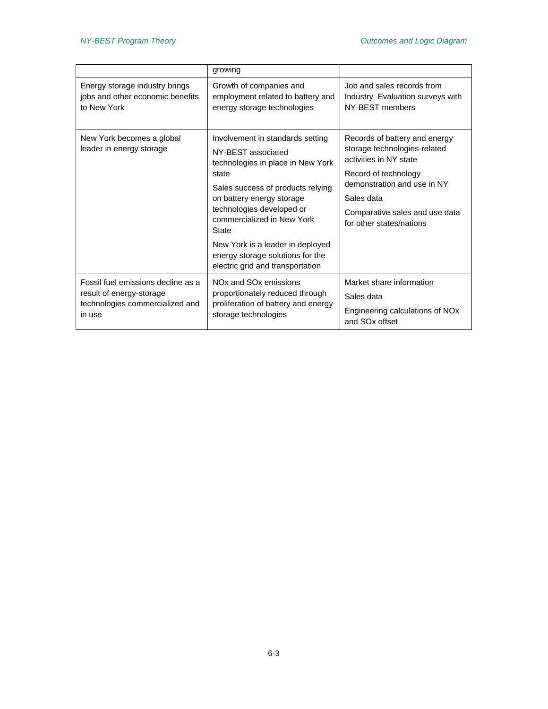|                                                       | growing                                                                                                                                                                                                                                                                                                                                                       |                                                                                                                                                                                                                            |
|-------------------------------------------------------|---------------------------------------------------------------------------------------------------------------------------------------------------------------------------------------------------------------------------------------------------------------------------------------------------------------------------------------------------------------|----------------------------------------------------------------------------------------------------------------------------------------------------------------------------------------------------------------------------|
| Energy storage industry brings                        | Growth of companies and                                                                                                                                                                                                                                                                                                                                       | Job and sales records from                                                                                                                                                                                                 |
| jobs and other economic benefits                      | employment related to battery and                                                                                                                                                                                                                                                                                                                             | Industry Evaluation surveys with                                                                                                                                                                                           |
| to New York                                           | energy storage technologies                                                                                                                                                                                                                                                                                                                                   | NY-BEST members                                                                                                                                                                                                            |
| New York becomes a global<br>leader in energy storage | Involvement in standards setting<br>NY-BEST associated<br>technologies in place in New York<br>state<br>Sales success of products relying<br>on battery energy storage<br>technologies developed or<br>commercialized in New York<br><b>State</b><br>New York is a leader in deployed<br>energy storage solutions for the<br>electric grid and transportation | Records of battery and energy<br>storage technologies-related<br>activities in NY state<br>Record of technology<br>demonstration and use in NY<br>Sales data<br>Comparative sales and use data<br>for other states/nations |
| Fossil fuel emissions decline as a                    | NO <sub>x</sub> and SO <sub>x</sub> emissions                                                                                                                                                                                                                                                                                                                 | Market share information                                                                                                                                                                                                   |
| result of energy-storage                              | proportionately reduced through                                                                                                                                                                                                                                                                                                                               | Sales data                                                                                                                                                                                                                 |
| technologies commercialized and                       | proliferation of battery and energy                                                                                                                                                                                                                                                                                                                           | Engineering calculations of NOx                                                                                                                                                                                            |
| in use                                                | storage technologies                                                                                                                                                                                                                                                                                                                                          | and SO <sub>x</sub> offset                                                                                                                                                                                                 |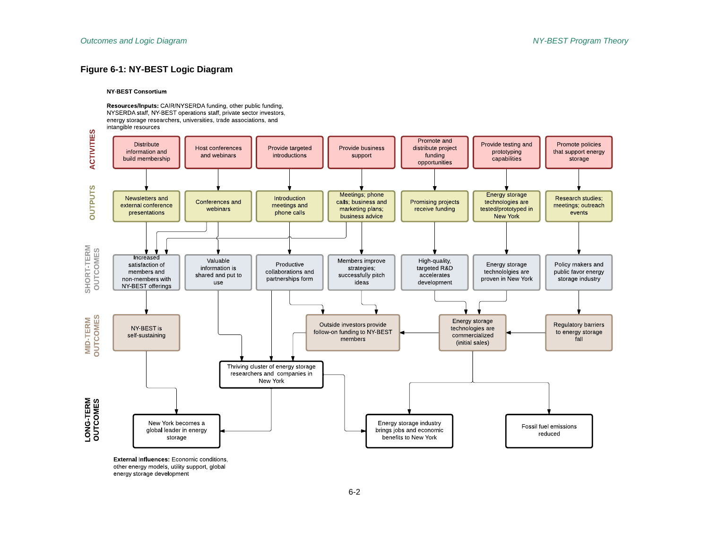#### **Figure 6-1: NY-BEST Logic Diagram**

#### **NY-BEST Consortium**

Resources/Inputs: CAIR/NYSERDA funding, other public funding, NYSERDA staff, NY BEST operations staff, private sector investors, energy storage researchers, universities, trade associations, and intangible resources



energy storage development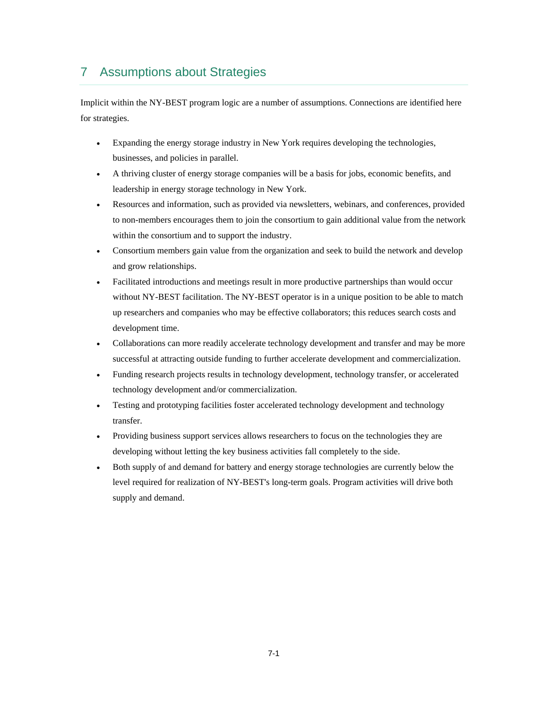### 7 Assumptions about Strategies

Implicit within the NY-BEST program logic are a number of assumptions. Connections are identified here for strategies.

- Expanding the energy storage industry in New York requires developing the technologies, businesses, and policies in parallel.
- A thriving cluster of energy storage companies will be a basis for jobs, economic benefits, and leadership in energy storage technology in New York.
- Resources and information, such as provided via newsletters, webinars, and conferences, provided to non-members encourages them to join the consortium to gain additional value from the network within the consortium and to support the industry.
- Consortium members gain value from the organization and seek to build the network and develop and grow relationships.
- Facilitated introductions and meetings result in more productive partnerships than would occur without NY-BEST facilitation. The NY-BEST operator is in a unique position to be able to match up researchers and companies who may be effective collaborators; this reduces search costs and development time.
- Collaborations can more readily accelerate technology development and transfer and may be more successful at attracting outside funding to further accelerate development and commercialization.
- Funding research projects results in technology development, technology transfer, or accelerated technology development and/or commercialization.
- Testing and prototyping facilities foster accelerated technology development and technology transfer.
- Providing business support services allows researchers to focus on the technologies they are developing without letting the key business activities fall completely to the side.
- Both supply of and demand for battery and energy storage technologies are currently below the level required for realization of NY-BEST's long-term goals. Program activities will drive both supply and demand.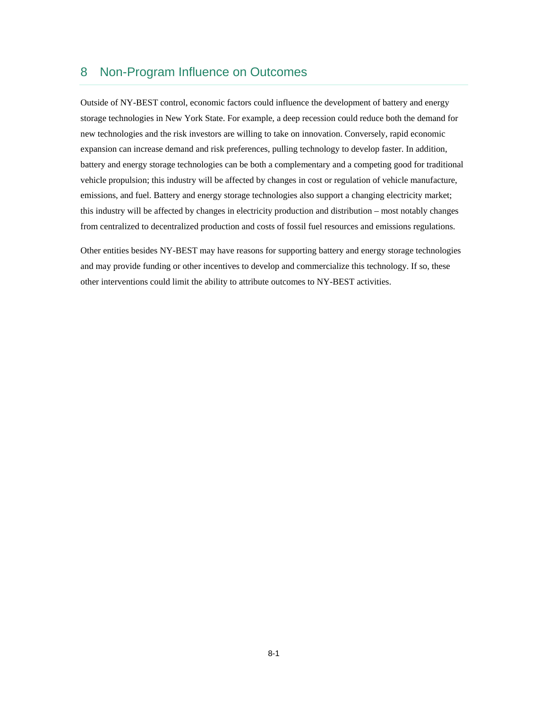### 8 Non-Program Influence on Outcomes

 battery and energy storage technologies can be both a complementary and a competing good for traditional Outside of NY-BEST control, economic factors could influence the development of battery and energy storage technologies in New York State. For example, a deep recession could reduce both the demand for new technologies and the risk investors are willing to take on innovation. Conversely, rapid economic expansion can increase demand and risk preferences, pulling technology to develop faster. In addition, vehicle propulsion; this industry will be affected by changes in cost or regulation of vehicle manufacture, emissions, and fuel. Battery and energy storage technologies also support a changing electricity market; this industry will be affected by changes in electricity production and distribution – most notably changes from centralized to decentralized production and costs of fossil fuel resources and emissions regulations.

Other entities besides NY-BEST may have reasons for supporting battery and energy storage technologies and may provide funding or other incentives to develop and commercialize this technology. If so, these other interventions could limit the ability to attribute outcomes to NY-BEST activities.